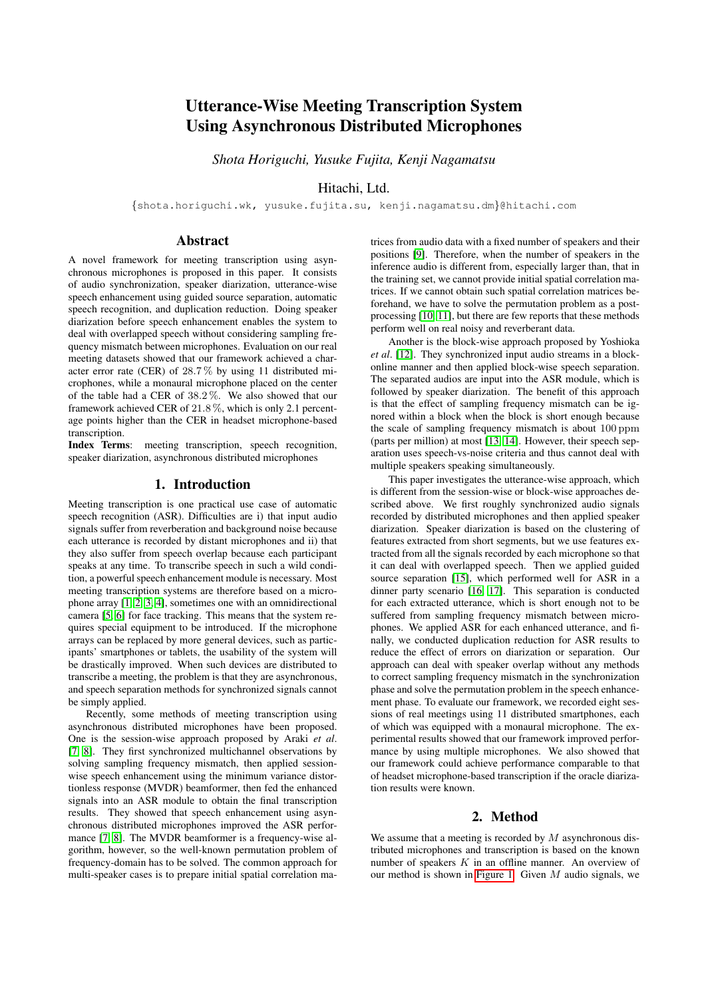# Utterance-Wise Meeting Transcription System Using Asynchronous Distributed Microphones

*Shota Horiguchi, Yusuke Fujita, Kenji Nagamatsu*

Hitachi, Ltd.

{shota.horiguchi.wk, yusuke.fujita.su, kenji.nagamatsu.dm}@hitachi.com

# Abstract

A novel framework for meeting transcription using asynchronous microphones is proposed in this paper. It consists of audio synchronization, speaker diarization, utterance-wise speech enhancement using guided source separation, automatic speech recognition, and duplication reduction. Doing speaker diarization before speech enhancement enables the system to deal with overlapped speech without considering sampling frequency mismatch between microphones. Evaluation on our real meeting datasets showed that our framework achieved a character error rate (CER) of 28.7 % by using 11 distributed microphones, while a monaural microphone placed on the center of the table had a CER of 38.2 %. We also showed that our framework achieved CER of 21.8 %, which is only 2.1 percentage points higher than the CER in headset microphone-based transcription.

Index Terms: meeting transcription, speech recognition, speaker diarization, asynchronous distributed microphones

# 1. Introduction

Meeting transcription is one practical use case of automatic speech recognition (ASR). Difficulties are i) that input audio signals suffer from reverberation and background noise because each utterance is recorded by distant microphones and ii) that they also suffer from speech overlap because each participant speaks at any time. To transcribe speech in such a wild condition, a powerful speech enhancement module is necessary. Most meeting transcription systems are therefore based on a microphone array [\[1,](#page-4-0) [2,](#page-4-1) [3,](#page-4-2) [4\]](#page-4-3), sometimes one with an omnidirectional camera [\[5,](#page-4-4) [6\]](#page-4-5) for face tracking. This means that the system requires special equipment to be introduced. If the microphone arrays can be replaced by more general devices, such as participants' smartphones or tablets, the usability of the system will be drastically improved. When such devices are distributed to transcribe a meeting, the problem is that they are asynchronous, and speech separation methods for synchronized signals cannot be simply applied.

Recently, some methods of meeting transcription using asynchronous distributed microphones have been proposed. One is the session-wise approach proposed by Araki *et al*. [\[7,](#page-4-6) [8\]](#page-4-7). They first synchronized multichannel observations by solving sampling frequency mismatch, then applied sessionwise speech enhancement using the minimum variance distortionless response (MVDR) beamformer, then fed the enhanced signals into an ASR module to obtain the final transcription results. They showed that speech enhancement using asynchronous distributed microphones improved the ASR performance [\[7,](#page-4-6) [8\]](#page-4-7). The MVDR beamformer is a frequency-wise algorithm, however, so the well-known permutation problem of frequency-domain has to be solved. The common approach for multi-speaker cases is to prepare initial spatial correlation matrices from audio data with a fixed number of speakers and their positions [\[9\]](#page-4-8). Therefore, when the number of speakers in the inference audio is different from, especially larger than, that in the training set, we cannot provide initial spatial correlation matrices. If we cannot obtain such spatial correlation matrices beforehand, we have to solve the permutation problem as a postprocessing [\[10,](#page-4-9) [11\]](#page-4-10), but there are few reports that these methods perform well on real noisy and reverberant data.

Another is the block-wise approach proposed by Yoshioka *et al*. [\[12\]](#page-4-11). They synchronized input audio streams in a blockonline manner and then applied block-wise speech separation. The separated audios are input into the ASR module, which is followed by speaker diarization. The benefit of this approach is that the effect of sampling frequency mismatch can be ignored within a block when the block is short enough because the scale of sampling frequency mismatch is about 100 ppm (parts per million) at most [\[13,](#page-4-12) [14\]](#page-4-13). However, their speech separation uses speech-vs-noise criteria and thus cannot deal with multiple speakers speaking simultaneously.

This paper investigates the utterance-wise approach, which is different from the session-wise or block-wise approaches described above. We first roughly synchronized audio signals recorded by distributed microphones and then applied speaker diarization. Speaker diarization is based on the clustering of features extracted from short segments, but we use features extracted from all the signals recorded by each microphone so that it can deal with overlapped speech. Then we applied guided source separation [\[15\]](#page-4-14), which performed well for ASR in a dinner party scenario [\[16,](#page-4-15) [17\]](#page-4-16). This separation is conducted for each extracted utterance, which is short enough not to be suffered from sampling frequency mismatch between microphones. We applied ASR for each enhanced utterance, and finally, we conducted duplication reduction for ASR results to reduce the effect of errors on diarization or separation. Our approach can deal with speaker overlap without any methods to correct sampling frequency mismatch in the synchronization phase and solve the permutation problem in the speech enhancement phase. To evaluate our framework, we recorded eight sessions of real meetings using 11 distributed smartphones, each of which was equipped with a monaural microphone. The experimental results showed that our framework improved performance by using multiple microphones. We also showed that our framework could achieve performance comparable to that of headset microphone-based transcription if the oracle diarization results were known.

## 2. Method

We assume that a meeting is recorded by  $M$  asynchronous distributed microphones and transcription is based on the known number of speakers  $K$  in an offline manner. An overview of our method is shown in [Figure 1.](#page-1-0) Given  $M$  audio signals, we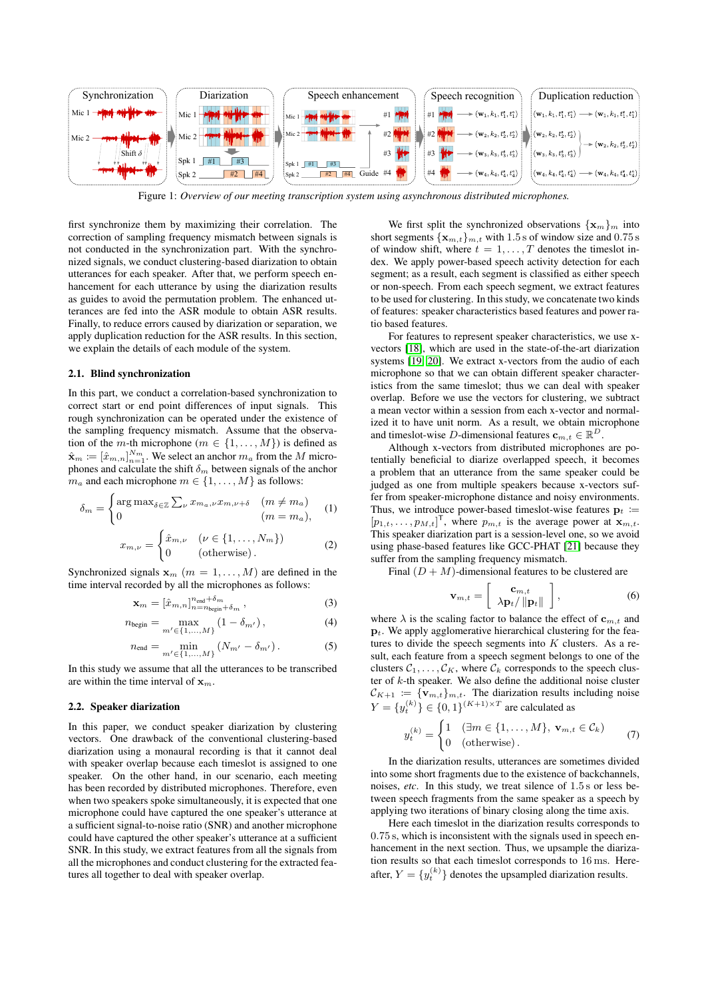<span id="page-1-0"></span>

Figure 1: *Overview of our meeting transcription system using asynchronous distributed microphones.*

first synchronize them by maximizing their correlation. The correction of sampling frequency mismatch between signals is not conducted in the synchronization part. With the synchronized signals, we conduct clustering-based diarization to obtain utterances for each speaker. After that, we perform speech enhancement for each utterance by using the diarization results as guides to avoid the permutation problem. The enhanced utterances are fed into the ASR module to obtain ASR results. Finally, to reduce errors caused by diarization or separation, we apply duplication reduction for the ASR results. In this section, we explain the details of each module of the system.

#### 2.1. Blind synchronization

In this part, we conduct a correlation-based synchronization to correct start or end point differences of input signals. This rough synchronization can be operated under the existence of the sampling frequency mismatch. Assume that the observation of the *m*-th microphone ( $m \in \{1, \ldots, M\}$ ) is defined as  $\hat{\mathbf{x}}_m := [\hat{x}_{m,n}]_{n=1}^{N_m}$ . We select an anchor  $m_a$  from the M microphones and calculate the shift  $\delta_m$  between signals of the anchor  $m_a$  and each microphone  $m \in \{1, \ldots, M\}$  as follows:

$$
\delta_m = \begin{cases} \arg \max_{\delta \in \mathbb{Z}} \sum_{\nu} x_{m_a, \nu} x_{m, \nu + \delta} & (m \neq m_a) \\ 0 & (m = m_a), \end{cases}
$$
 (1)

$$
x_{m,\nu} = \begin{cases} \hat{x}_{m,\nu} & (\nu \in \{1, \dots, N_m\}) \\ 0 & (\text{otherwise}). \end{cases}
$$
 (2)

Synchronized signals  $\mathbf{x}_m$  ( $m = 1, \ldots, M$ ) are defined in the time interval recorded by all the microphones as follows:

$$
\mathbf{x}_m = [\hat{x}_{m,n}]_{n=n_{\text{begin}} + \delta_m}^{n_{\text{end}} + \delta_m},\tag{3}
$$

$$
n_{\text{begin}} = \max_{m' \in \{1, ..., M\}} \left(1 - \delta_{m'}\right),\tag{4}
$$

$$
n_{\text{end}} = \min_{m' \in \{1, ..., M\}} \left( N_{m'} - \delta_{m'} \right). \tag{5}
$$

In this study we assume that all the utterances to be transcribed are within the time interval of  $x_m$ .

#### 2.2. Speaker diarization

In this paper, we conduct speaker diarization by clustering vectors. One drawback of the conventional clustering-based diarization using a monaural recording is that it cannot deal with speaker overlap because each timeslot is assigned to one speaker. On the other hand, in our scenario, each meeting has been recorded by distributed microphones. Therefore, even when two speakers spoke simultaneously, it is expected that one microphone could have captured the one speaker's utterance at a sufficient signal-to-noise ratio (SNR) and another microphone could have captured the other speaker's utterance at a sufficient SNR. In this study, we extract features from all the signals from all the microphones and conduct clustering for the extracted features all together to deal with speaker overlap.

We first split the synchronized observations  $\{x_m\}_m$  into short segments  $\{x_{m,t}\}_{m,t}$  with 1.5 s of window size and 0.75 s of window shift, where  $t = 1, \ldots, T$  denotes the timeslot index. We apply power-based speech activity detection for each segment; as a result, each segment is classified as either speech or non-speech. From each speech segment, we extract features to be used for clustering. In this study, we concatenate two kinds of features: speaker characteristics based features and power ratio based features.

For features to represent speaker characteristics, we use xvectors [\[18\]](#page-4-17), which are used in the state-of-the-art diarization systems [\[19,](#page-4-18) [20\]](#page-4-19). We extract x-vectors from the audio of each microphone so that we can obtain different speaker characteristics from the same timeslot; thus we can deal with speaker overlap. Before we use the vectors for clustering, we subtract a mean vector within a session from each x-vector and normalized it to have unit norm. As a result, we obtain microphone and timeslot-wise D-dimensional features  $\mathbf{c}_{m,t} \in \mathbb{R}^D$ .

Although x-vectors from distributed microphones are potentially beneficial to diarize overlapped speech, it becomes a problem that an utterance from the same speaker could be judged as one from multiple speakers because x-vectors suffer from speaker-microphone distance and noisy environments. Thus, we introduce power-based timeslot-wise features  $\mathbf{p}_t :=$  $[p_{1,t}, \ldots, p_{M,t}]^{\mathsf{T}}$ , where  $p_{m,t}$  is the average power at  $\mathbf{x}_{m,t}$ . This speaker diarization part is a session-level one, so we avoid using phase-based features like GCC-PHAT [\[21\]](#page-4-20) because they suffer from the sampling frequency mismatch.

Final  $(D + M)$ -dimensional features to be clustered are

<span id="page-1-1"></span>
$$
\mathbf{v}_{m,t} = \left[ \begin{array}{c} \mathbf{c}_{m,t} \\ \lambda \mathbf{p}_t / \|\mathbf{p}_t\| \end{array} \right],\tag{6}
$$

where  $\lambda$  is the scaling factor to balance the effect of  $c_{m,t}$  and  $p_t$ . We apply agglomerative hierarchical clustering for the features to divide the speech segments into  $K$  clusters. As a result, each feature from a speech segment belongs to one of the clusters  $C_1, \ldots, C_K$ , where  $C_k$  corresponds to the speech cluster of k-th speaker. We also define the additional noise cluster  $\mathcal{C}_{K+1} := \{ \mathbf{v}_{m,t} \}_{m,t}.$  The diarization results including noise  $Y = \{y_t^{(k)}\} \in \{0, 1\}^{(K+1) \times T}$  are calculated as

$$
y_t^{(k)} = \begin{cases} 1 & (\exists m \in \{1, \dots, M\}, \ \mathbf{v}_{m,t} \in \mathcal{C}_k) \\ 0 & (\text{otherwise}). \end{cases}
$$
 (7)

In the diarization results, utterances are sometimes divided into some short fragments due to the existence of backchannels, noises, *etc*. In this study, we treat silence of 1.5 s or less between speech fragments from the same speaker as a speech by applying two iterations of binary closing along the time axis.

Here each timeslot in the diarization results corresponds to 0.75 s, which is inconsistent with the signals used in speech enhancement in the next section. Thus, we upsample the diarization results so that each timeslot corresponds to 16 ms. Hereafter,  $Y = \{y_t^{(k)}\}$  denotes the upsampled diarization results.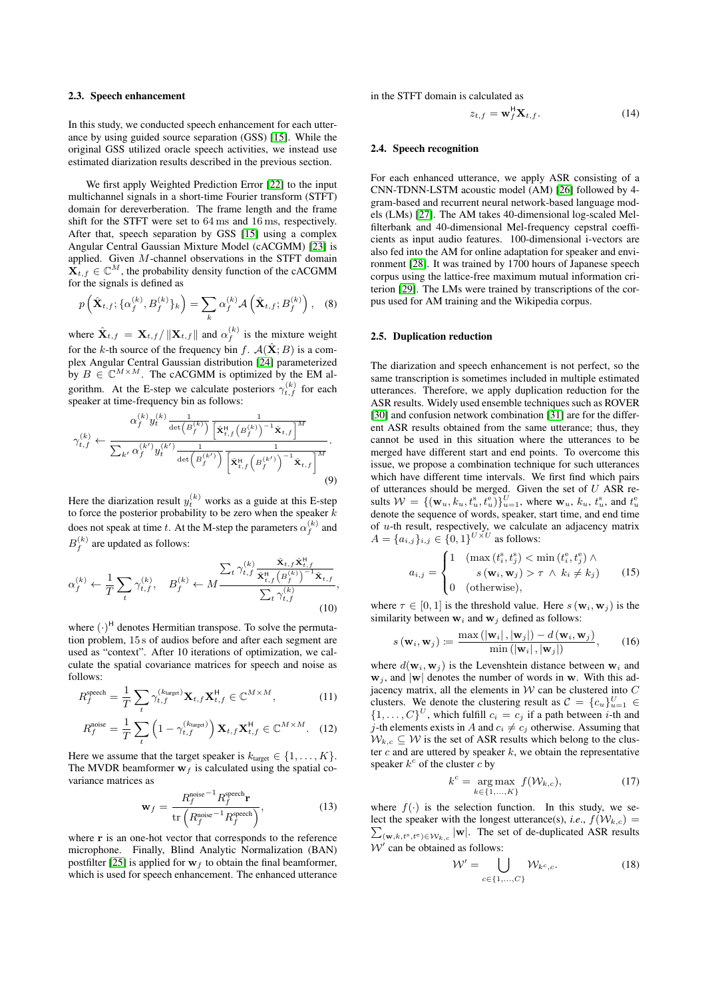#### 2.3. Speech enhancement

In this study, we conducted speech enhancement for each utterance by using guided source separation (GSS) [\[15\]](#page-4-14). While the original GSS utilized oracle speech activities, we instead use estimated diarization results described in the previous section.

We first apply Weighted Prediction Error [\[22\]](#page-4-21) to the input multichannel signals in a short-time Fourier transform (STFT) domain for dereverberation. The frame length and the frame shift for the STFT were set to 64 ms and 16 ms, respectively. After that, speech separation by GSS [\[15\]](#page-4-14) using a complex Angular Central Gaussian Mixture Model (cACGMM) [\[23\]](#page-4-22) is applied. Given M-channel observations in the STFT domain  $\widetilde{\mathbf{X}_{t,f}} \in \mathbb{C}^{M}$ , the probability density function of the cACGMM for the signals is defined as

$$
p\left(\hat{\mathbf{X}}_{t,f};\{\alpha_f^{(k)},B_f^{(k)}\}_k\right) = \sum_k \alpha_f^{(k)} \mathcal{A}\left(\hat{\mathbf{X}}_{t,f};B_f^{(k)}\right), \quad (8)
$$

where  $\hat{\mathbf{X}}_{t,f} = \mathbf{X}_{t,f} / ||\mathbf{X}_{t,f}||$  and  $\alpha_f^{(k)}$  is the mixture weight for the k-th source of the frequency bin f.  $A(\hat{\mathbf{X}};B)$  is a complex Angular Central Gaussian distribution [\[24\]](#page-4-23) parameterized by  $B \in \mathbb{C}^{M \times M}$ . The cACGMM is optimized by the EM algorithm. At the E-step we calculate posteriors  $\gamma_{t,f}^{(k)}$  for each speaker at time-frequency bin as follows:

$$
\gamma_{t,f}^{(k)} \leftarrow \frac{\alpha_f^{(k)} y_t^{(k)} \frac{1}{\det(B_f^{(k)})} \left[ \hat{\mathbf{x}}_{t,f}^{\mu}(B_f^{(k)})^{-1} \hat{\mathbf{x}}_{t,f} \right]^M}{\sum_{k'} \alpha_f^{(k')} y_t^{(k')} \frac{1}{\det(B_f^{(k')})} \left[ \hat{\mathbf{x}}_{t,f}^{\mu}(B_f^{(k')})^{-1} \hat{\mathbf{x}}_{t,f} \right]^M} \cdot (9)
$$

Here the diarization result  $y_t^{(k)}$  works as a guide at this E-step to force the posterior probability to be zero when the speaker  $k$ does not speak at time  $t.$  At the M-step the parameters  $\alpha_f^{(k)}$  and  $B_f^{(k)}$  are updated as follows:

$$
\alpha_f^{(k)} \leftarrow \frac{1}{T} \sum_t \gamma_{t,f}^{(k)}, \quad B_f^{(k)} \leftarrow M \frac{\sum_t \gamma_{t,f}^{(k)} \frac{\hat{\mathbf{x}}_{t,f} \hat{\mathbf{x}}_{t,f}^{\text{H}}}{\hat{\mathbf{x}}_{t,f}^{\text{H}} \left(B_f^{(k)}\right)^{-1} \hat{\mathbf{x}}_{t,f}}}{\sum_t \gamma_{t,f}^{(k)}},\tag{10}
$$

where  $(\cdot)^{H}$  denotes Hermitian transpose. To solve the permutation problem, 15 s of audios before and after each segment are used as "context". After 10 iterations of optimization, we calculate the spatial covariance matrices for speech and noise as follows:

$$
R_f^{\text{speed}} = \frac{1}{T} \sum_t \gamma_{t,f}^{(k_{\text{target}})} \mathbf{X}_{t,f} \mathbf{X}_{t,f}^{\mathsf{H}} \in \mathbb{C}^{M \times M},\tag{11}
$$

$$
R_f^{\text{noise}} = \frac{1}{T} \sum_{t} \left( 1 - \gamma_{t,f}^{(k_{\text{target}})} \right) \mathbf{X}_{t,f} \mathbf{X}_{t,f}^{\mathsf{H}} \in \mathbb{C}^{M \times M}.
$$
 (12)

Here we assume that the target speaker is  $k_{\text{target}} \in \{1, \ldots, K\}.$ The MVDR beamformer  $w_f$  is calculated using the spatial covariance matrices as

$$
\mathbf{w}_f = \frac{R_f^{\text{noise}}^{-1} R_f^{\text{speed}} \mathbf{r}}{\text{tr}\left(R_f^{\text{noise}}^{-1} R_f^{\text{speed}}\right)},\tag{13}
$$

where r is an one-hot vector that corresponds to the reference microphone. Finally, Blind Analytic Normalization (BAN) postfilter [\[25\]](#page-4-24) is applied for  $w_f$  to obtain the final beamformer, which is used for speech enhancement. The enhanced utterance

in the STFT domain is calculated as

$$
z_{t,f} = \mathbf{w}_f^{\mathsf{H}} \mathbf{X}_{t,f}.
$$
 (14)

#### 2.4. Speech recognition

For each enhanced utterance, we apply ASR consisting of a CNN-TDNN-LSTM acoustic model (AM) [\[26\]](#page-4-25) followed by 4 gram-based and recurrent neural network-based language models (LMs) [\[27\]](#page-4-26). The AM takes 40-dimensional log-scaled Melfilterbank and 40-dimensional Mel-frequency cepstral coefficients as input audio features. 100-dimensional i-vectors are also fed into the AM for online adaptation for speaker and environment [\[28\]](#page-4-27). It was trained by 1700 hours of Japanese speech corpus using the lattice-free maximum mutual information criterion [\[29\]](#page-4-28). The LMs were trained by transcriptions of the corpus used for AM training and the Wikipedia corpus.

## 2.5. Duplication reduction

The diarization and speech enhancement is not perfect, so the same transcription is sometimes included in multiple estimated utterances. Therefore, we apply duplication reduction for the ASR results. Widely used ensemble techniques such as ROVER [\[30\]](#page-4-29) and confusion network combination [\[31\]](#page-4-30) are for the different ASR results obtained from the same utterance; thus, they cannot be used in this situation where the utterances to be merged have different start and end points. To overcome this issue, we propose a combination technique for such utterances which have different time intervals. We first find which pairs of utterances should be merged. Given the set of  $U$  ASR results  $W = \{ (\mathbf{w}_u, k_u, t_u^s, t_u^e) \}_{u=1}^U$ , where  $\mathbf{w}_u, k_u, t_u^s$ , and  $t_u^e$ denote the sequence of words, speaker, start time, and end time of  $u$ -th result, respectively, we calculate an adjacency matrix  $A = \{a_{i,j}\}_{i,j} \in \{0,1\}^{U \times U}$  as follows:

$$
a_{i,j} = \begin{cases} 1 & (\max\left(t_i^s, t_j^s\right) < \min\left(t_i^e, t_j^e\right) \land \\ s\left(\mathbf{w}_i, \mathbf{w}_j\right) > \tau \land k_i \neq k_j \end{cases} \tag{15}
$$
\n
$$
0 & (\text{otherwise}),
$$

where  $\tau \in [0, 1]$  is the threshold value. Here  $s(\mathbf{w}_i, \mathbf{w}_j)$  is the similarity between  $w_i$  and  $w_j$  defined as follows:

$$
s(\mathbf{w}_i, \mathbf{w}_j) \coloneqq \frac{\max(|\mathbf{w}_i|, |\mathbf{w}_j|) - d(\mathbf{w}_i, \mathbf{w}_j)}{\min(|\mathbf{w}_i|, |\mathbf{w}_j|)},\qquad(16)
$$

where  $d(\mathbf{w}_i, \mathbf{w}_j)$  is the Levenshtein distance between  $\mathbf{w}_i$  and  $\mathbf{w}_j$ , and  $|\mathbf{w}|$  denotes the number of words in w. With this adjacency matrix, all the elements in  $W$  can be clustered into  $C$ clusters. We denote the clustering result as  $\mathcal{C} = \{c_u\}_{u=1}^U \in$  $\{1,\ldots,C\}^U$ , which fulfill  $c_i = c_j$  if a path between *i*-th and j-th elements exists in A and  $c_i \neq c_j$  otherwise. Assuming that  $W_{k,c} \subseteq W$  is the set of ASR results which belong to the cluster  $c$  and are uttered by speaker  $k$ , we obtain the representative speaker  $k^c$  of the cluster  $c$  by

$$
k^{c} = \underset{k \in \{1, ..., K\}}{\arg \max} f(\mathcal{W}_{k, c}), \tag{17}
$$

where  $f(\cdot)$  is the selection function. In this study, we select the speaker with the longest utterance(s), *i.e.*,  $f(W_{k,c}) =$  $\sum_{(\mathbf{w},k,t^{\text{s}},t^{\text{e}}) \in \mathcal{W}_{k,c}} |\mathbf{w}|$ . The set of de-duplicated ASR results  $W'$  can be obtained as follows:

$$
\mathcal{W}' = \bigcup_{c \in \{1, ..., C\}} \mathcal{W}_{k^c, c}.
$$
 (18)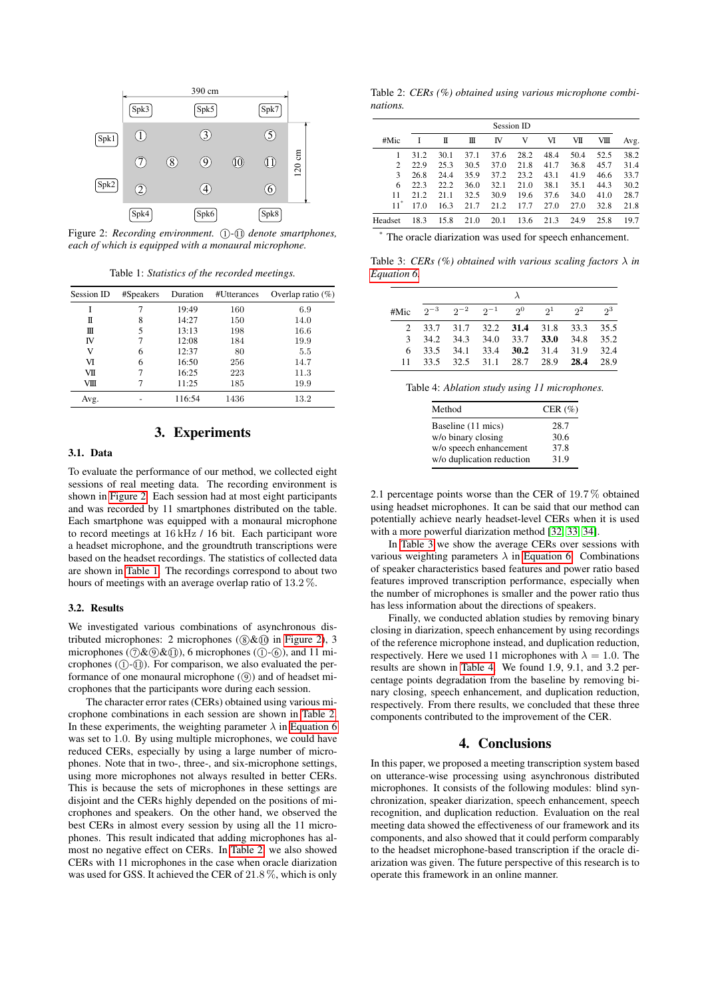<span id="page-3-0"></span>

Figure 2: *Recording environment.* (1)-(1) denote smartphones, *each of which is equipped with a monaural microphone.*

Table 1: *Statistics of the recorded meetings.*

<span id="page-3-1"></span>

| Session ID | #Speakers |        | #Utterances | Overlap ratio $(\%)$ |  |
|------------|-----------|--------|-------------|----------------------|--|
|            |           | 19:49  | 160         | 6.9                  |  |
| π          | 8         | 14:27  | 150         | 14.0                 |  |
| Ш          | 5         | 13:13  | 198         | 16.6                 |  |
| IV         |           | 12:08  | 184         | 19.9                 |  |
| V          | 6         | 12:37  | 80          | 5.5                  |  |
| VI         | 6         | 16:50  | 256         | 14.7                 |  |
| VII        |           | 16:25  | 223         | 11.3                 |  |
| VШ         |           | 11:25  | 185         | 19.9                 |  |
| Avg.       |           | 116:54 | 1436        | 13.2                 |  |

# 3. Experiments

# 3.1. Data

To evaluate the performance of our method, we collected eight sessions of real meeting data. The recording environment is shown in [Figure 2.](#page-3-0) Each session had at most eight participants and was recorded by 11 smartphones distributed on the table. Each smartphone was equipped with a monaural microphone to record meetings at 16 kHz / 16 bit. Each participant wore a headset microphone, and the groundtruth transcriptions were based on the headset recordings. The statistics of collected data are shown in [Table 1.](#page-3-1) The recordings correspond to about two hours of meetings with an average overlap ratio of 13.2 %.

#### 3.2. Results

We investigated various combinations of asynchronous distributed microphones: 2 microphones  $(8)$ & $(0)$  in [Figure 2\)](#page-3-0), 3 microphones  $(\partial \& \mathcal{D}\& \mathcal{D})$ , 6 microphones  $(\mathcal{D}-(6))$ , and 11 microphones  $(1)$ - $(1)$ ). For comparison, we also evaluated the performance of one monaural microphone ((9)) and of headset microphones that the participants wore during each session.

The character error rates (CERs) obtained using various microphone combinations in each session are shown in [Table 2.](#page-3-2) In these experiments, the weighting parameter  $\lambda$  in [Equation 6](#page-1-1) was set to 1.0. By using multiple microphones, we could have reduced CERs, especially by using a large number of microphones. Note that in two-, three-, and six-microphone settings, using more microphones not always resulted in better CERs. This is because the sets of microphones in these settings are disjoint and the CERs highly depended on the positions of microphones and speakers. On the other hand, we observed the best CERs in almost every session by using all the 11 microphones. This result indicated that adding microphones has almost no negative effect on CERs. In [Table 2,](#page-3-2) we also showed CERs with 11 microphones in the case when oracle diarization was used for GSS. It achieved the CER of 21.8 %, which is only

<span id="page-3-2"></span>Table 2: *CERs (%) obtained using various microphone combinations.*

| Session ID |      |      |      |      |      |      |      |      |      |
|------------|------|------|------|------|------|------|------|------|------|
| #Mic       |      | π    | Ш    | IV   | V    | VI   | VII  | VШ   | Avg. |
|            | 31.2 | 30.1 | 37.1 | 37.6 | 28.2 | 48.4 | 50.4 | 52.5 | 38.2 |
| 2          | 22.9 | 25.3 | 30.5 | 37.0 | 21.8 | 41.7 | 36.8 | 45.7 | 31.4 |
| 3          | 26.8 | 24.4 | 35.9 | 37.2 | 23.2 | 43.1 | 41.9 | 46.6 | 33.7 |
| 6          | 22.3 | 22.2 | 36.0 | 32.1 | 21.0 | 38.1 | 35.1 | 44.3 | 30.2 |
| 11         | 21.2 | 21.1 | 32.5 | 30.9 | 19.6 | 37.6 | 34.0 | 41.0 | 28.7 |
| $11^"$     | 17.0 | 16.3 | 21.7 | 21.2 | 17.7 | 27.0 | 27.0 | 32.8 | 21.8 |
| Headset    | 18.3 | 15.8 | 21.0 | 20.1 | 13.6 | 21.3 | 24.9 | 25.8 | 19.7 |

The oracle diarization was used for speech enhancement.

Table 3: *CERs (%) obtained with various scaling factors* λ *in [Equation 6.](#page-1-1)*

|  |  |  |  |  | #Mic $2^{-3}$ $2^{-2}$ $2^{-1}$ $2^{0}$ $2^{1}$ $2^{2}$ $2^{3}$ |  |  |
|--|--|--|--|--|-----------------------------------------------------------------|--|--|
|  |  |  |  |  | 2 33.7 31.7 32.2 31.4 31.8 33.3 35.5                            |  |  |
|  |  |  |  |  | 3 34.2 34.3 34.0 33.7 33.0 34.8 35.2                            |  |  |
|  |  |  |  |  | 6 33.5 34.1 33.4 30.2 31.4 31.9 32.4                            |  |  |
|  |  |  |  |  | 11 33.5 32.5 31.1 28.7 28.9 28.4 28.9                           |  |  |

Table 4: *Ablation study using 11 microphones.*

| Method                    | CER $(\% )$ |  |  |
|---------------------------|-------------|--|--|
| Baseline (11 mics)        | 28.7        |  |  |
| w/o binary closing        | 30.6        |  |  |
| w/o speech enhancement    | 37.8        |  |  |
| w/o duplication reduction | 31.9        |  |  |

2.1 percentage points worse than the CER of 19.7 % obtained using headset microphones. It can be said that our method can potentially achieve nearly headset-level CERs when it is used with a more powerful diarization method [\[32,](#page-4-31) [33,](#page-4-32) [34\]](#page-4-33).

In [Table 3](#page-3-2) we show the average CERs over sessions with various weighting parameters  $\lambda$  in [Equation 6.](#page-1-1) Combinations of speaker characteristics based features and power ratio based features improved transcription performance, especially when the number of microphones is smaller and the power ratio thus has less information about the directions of speakers.

Finally, we conducted ablation studies by removing binary closing in diarization, speech enhancement by using recordings of the reference microphone instead, and duplication reduction, respectively. Here we used 11 microphones with  $\lambda = 1.0$ . The results are shown in [Table 4.](#page-3-2) We found 1.9, 9.1, and 3.2 percentage points degradation from the baseline by removing binary closing, speech enhancement, and duplication reduction, respectively. From there results, we concluded that these three components contributed to the improvement of the CER.

## 4. Conclusions

In this paper, we proposed a meeting transcription system based on utterance-wise processing using asynchronous distributed microphones. It consists of the following modules: blind synchronization, speaker diarization, speech enhancement, speech recognition, and duplication reduction. Evaluation on the real meeting data showed the effectiveness of our framework and its components, and also showed that it could perform comparably to the headset microphone-based transcription if the oracle diarization was given. The future perspective of this research is to operate this framework in an online manner.